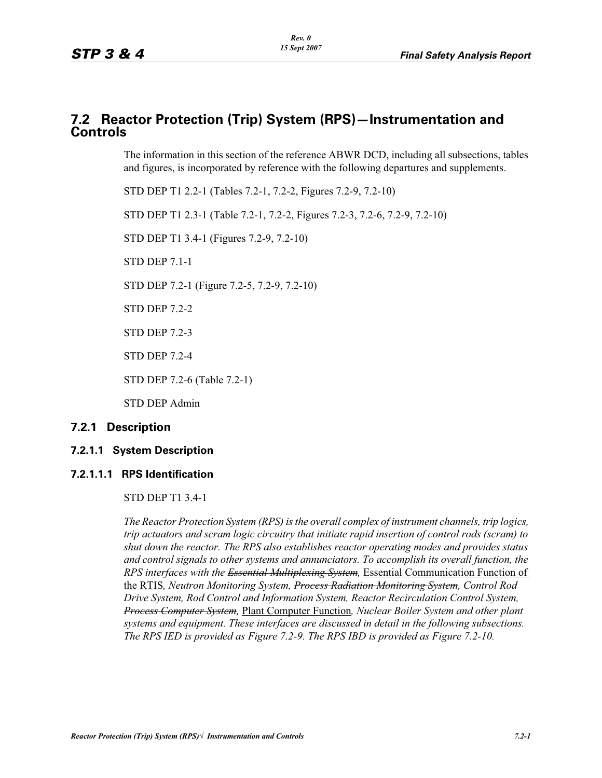## **7.2 Reactor Protection (Trip) System (RPS)—Instrumentation and Controls**

The information in this section of the reference ABWR DCD, including all subsections, tables and figures, is incorporated by reference with the following departures and supplements.

STD DEP T1 2.2-1 (Tables 7.2-1, 7.2-2, Figures 7.2-9, 7.2-10)

STD DEP T1 2.3-1 (Table 7.2-1, 7.2-2, Figures 7.2-3, 7.2-6, 7.2-9, 7.2-10)

STD DEP T1 3.4-1 (Figures 7.2-9, 7.2-10)

STD DEP 7.1-1

STD DEP 7.2-1 (Figure 7.2-5, 7.2-9, 7.2-10)

STD DEP 7.2-2

STD DEP 7.2-3

STD DEP 7.2-4

STD DEP 7.2-6 (Table 7.2-1)

STD DEP Admin

## **7.2.1 Description**

## **7.2.1.1 System Description**

## **7.2.1.1.1 RPS Identification**

STD DEP T1 3.4-1

*The Reactor Protection System (RPS) is the overall complex of instrument channels, trip logics, trip actuators and scram logic circuitry that initiate rapid insertion of control rods (scram) to shut down the reactor. The RPS also establishes reactor operating modes and provides status and control signals to other systems and annunciators. To accomplish its overall function, the RPS interfaces with the Essential Multiplexing System,* Essential Communication Function of the RTIS*, Neutron Monitoring System, Process Radiation Monitoring System, Control Rod Drive System, Rod Control and Information System, Reactor Recirculation Control System, Process Computer System,* Plant Computer Function*, Nuclear Boiler System and other plant systems and equipment. These interfaces are discussed in detail in the following subsections. The RPS IED is provided as Figure 7.2-9. The RPS IBD is provided as Figure 7.2-10.*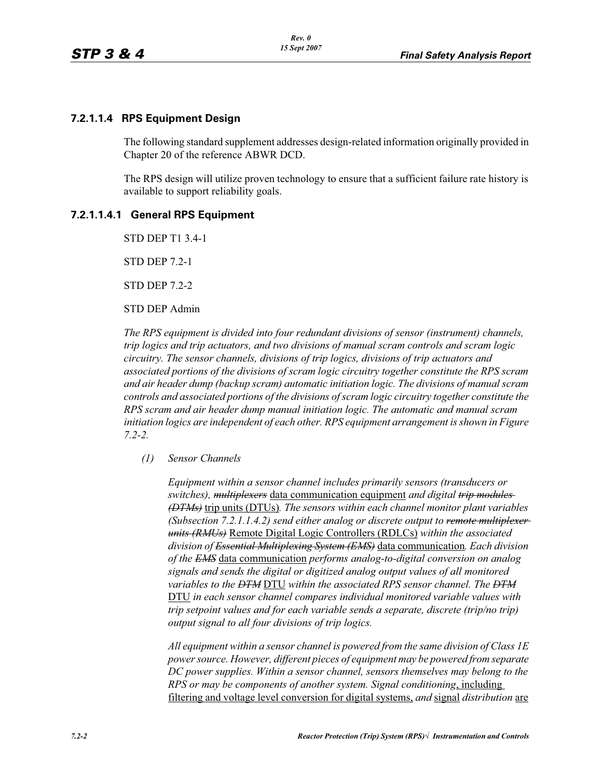## **7.2.1.1.4 RPS Equipment Design**

The following standard supplement addresses design-related information originally provided in Chapter 20 of the reference ABWR DCD.

The RPS design will utilize proven technology to ensure that a sufficient failure rate history is available to support reliability goals.

## **7.2.1.1.4.1 General RPS Equipment**

STD DEP T1 3.4-1

STD DEP 7.2-1

STD DEP 7.2-2

#### STD DEP Admin

*The RPS equipment is divided into four redundant divisions of sensor (instrument) channels, trip logics and trip actuators, and two divisions of manual scram controls and scram logic circuitry. The sensor channels, divisions of trip logics, divisions of trip actuators and associated portions of the divisions of scram logic circuitry together constitute the RPS scram and air header dump (backup scram) automatic initiation logic. The divisions of manual scram controls and associated portions of the divisions of scram logic circuitry together constitute the RPS scram and air header dump manual initiation logic. The automatic and manual scram initiation logics are independent of each other. RPS equipment arrangement is shown in Figure 7.2-2.*

#### *(1) Sensor Channels*

*Equipment within a sensor channel includes primarily sensors (transducers or switches), multiplexers* data communication equipment *and digital trip modules (DTMs)* trip units (DTUs)*. The sensors within each channel monitor plant variables (Subsection 7.2.1.1.4.2) send either analog or discrete output to remote multiplexer units (RMUs)* Remote Digital Logic Controllers (RDLCs) *within the associated division of Essential Multiplexing System (EMS)* data communication*. Each division of the EMS* data communication *performs analog-to-digital conversion on analog signals and sends the digital or digitized analog output values of all monitored variables to the DTM* DTU *within the associated RPS sensor channel. The DTM* DTU *in each sensor channel compares individual monitored variable values with trip setpoint values and for each variable sends a separate, discrete (trip/no trip) output signal to all four divisions of trip logics.*

*All equipment within a sensor channel is powered from the same division of Class 1E power source. However, different pieces of equipment may be powered from separate DC power supplies. Within a sensor channel, sensors themselves may belong to the RPS or may be components of another system. Signal conditioning*, including filtering and voltage level conversion for digital systems, *and* signal *distribution* are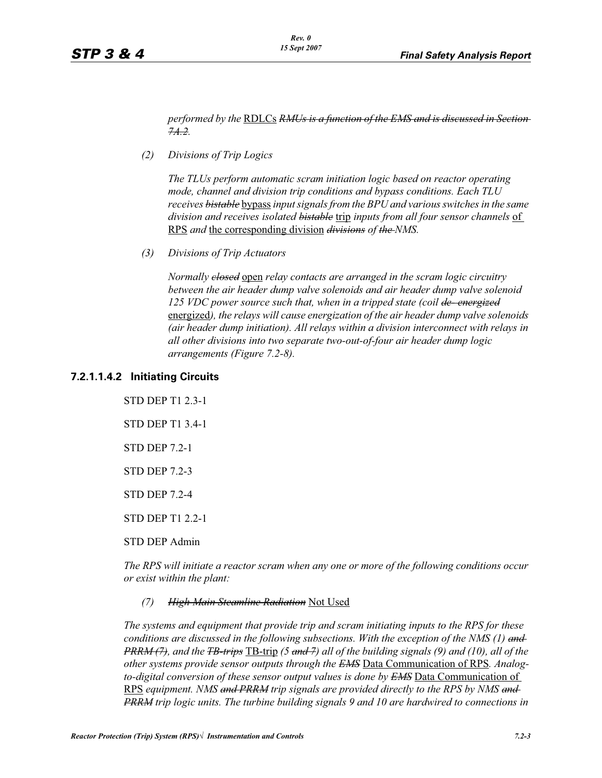*performed by the* RDLCs *RMUs is a function of the EMS and is discussed in Section 7A.2.*

*(2) Divisions of Trip Logics*

*The TLUs perform automatic scram initiation logic based on reactor operating mode, channel and division trip conditions and bypass conditions. Each TLU receives bistable* bypass *input signals from the BPU and various switches in the same division and receives isolated bistable* trip *inputs from all four sensor channels* of RPS *and* the corresponding division *divisions of the NMS.*

*(3) Divisions of Trip Actuators*

*Normally closed* open *relay contacts are arranged in the scram logic circuitry between the air header dump valve solenoids and air header dump valve solenoid 125 VDC power source such that, when in a tripped state (coil de- energized* energized*), the relays will cause energization of the air header dump valve solenoids (air header dump initiation). All relays within a division interconnect with relays in all other divisions into two separate two-out-of-four air header dump logic arrangements (Figure 7.2-8).*

#### **7.2.1.1.4.2 Initiating Circuits**

STD DEP T1 2.3-1 STD DEP T1 3.4-1 STD DEP 7.2-1 STD DEP 7.2-3 STD DEP 7.2-4 STD DEP T1 2.2-1 STD DEP Admin

*The RPS will initiate a reactor scram when any one or more of the following conditions occur or exist within the plant:*

*(7) High Main Steamline Radiation* Not Used

*The systems and equipment that provide trip and scram initiating inputs to the RPS for these conditions are discussed in the following subsections. With the exception of the NMS (1) and PRRM (7), and the TB-trips* TB-trip *(5 and 7) all of the building signals (9) and (10), all of the other systems provide sensor outputs through the EMS* Data Communication of RPS*. Analogto-digital conversion of these sensor output values is done by EMS* Data Communication of RPS *equipment. NMS and PRRM trip signals are provided directly to the RPS by NMS and PRRM trip logic units. The turbine building signals 9 and 10 are hardwired to connections in*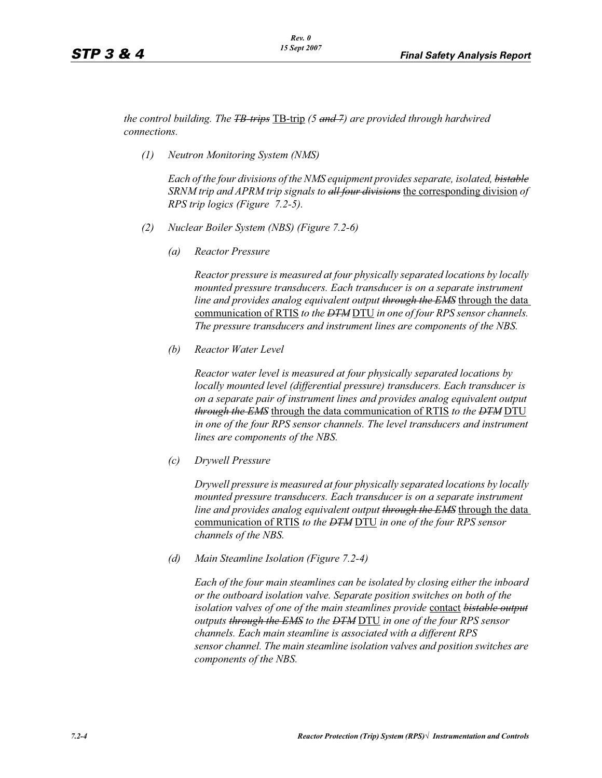*the control building. The TB-trips* TB-trip *(5 and 7) are provided through hardwired connections.*

*(1) Neutron Monitoring System (NMS)*

*Each of the four divisions of the NMS equipment provides separate, isolated, bistable SRNM trip and APRM trip signals to all four divisions* the corresponding division *of RPS trip logics (Figure 7.2-5).*

- *(2) Nuclear Boiler System (NBS) (Figure 7.2-6)*
	- *(a) Reactor Pressure*

*Reactor pressure is measured at four physically separated locations by locally mounted pressure transducers. Each transducer is on a separate instrument line and provides analog equivalent output through the EMS* through the data communication of RTIS *to the DTM* DTU *in one of four RPS sensor channels. The pressure transducers and instrument lines are components of the NBS.*

*(b) Reactor Water Level*

*Reactor water level is measured at four physically separated locations by locally mounted level (differential pressure) transducers. Each transducer is on a separate pair of instrument lines and provides analog equivalent output through the EMS* through the data communication of RTIS *to the DTM* DTU *in one of the four RPS sensor channels. The level transducers and instrument lines are components of the NBS.*

*(c) Drywell Pressure*

*Drywell pressure is measured at four physically separated locations by locally mounted pressure transducers. Each transducer is on a separate instrument line and provides analog equivalent output through the EMS* through the data communication of RTIS *to the DTM* DTU *in one of the four RPS sensor channels of the NBS.*

*(d) Main Steamline Isolation (Figure 7.2-4)*

*Each of the four main steamlines can be isolated by closing either the inboard or the outboard isolation valve. Separate position switches on both of the isolation valves of one of the main steamlines provide* contact *bistable output outputs through the EMS to the DTM* DTU *in one of the four RPS sensor channels. Each main steamline is associated with a different RPS sensor channel. The main steamline isolation valves and position switches are components of the NBS.*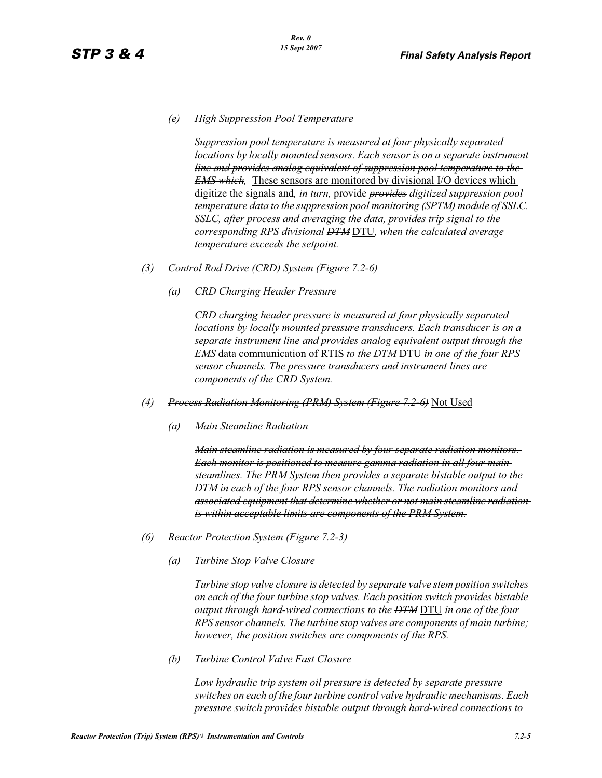*(e) High Suppression Pool Temperature*

*Suppression pool temperature is measured at four physically separated locations by locally mounted sensors. <del>Each sensor is on a separate instrument</del> line and provides analog equivalent of suppression pool temperature to the EMS which,* These sensors are monitored by divisional I/O devices which digitize the signals and*, in turn,* provide *provides digitized suppression pool temperature data to the suppression pool monitoring (SPTM) module of SSLC. SSLC, after process and averaging the data, provides trip signal to the corresponding RPS divisional DTM* DTU*, when the calculated average temperature exceeds the setpoint.*

- *(3) Control Rod Drive (CRD) System (Figure 7.2-6)*
	- *(a) CRD Charging Header Pressure*

*CRD charging header pressure is measured at four physically separated locations by locally mounted pressure transducers. Each transducer is on a separate instrument line and provides analog equivalent output through the EMS* data communication of RTIS *to the DTM* DTU *in one of the four RPS sensor channels. The pressure transducers and instrument lines are components of the CRD System.*

- *(4) Process Radiation Monitoring (PRM) System (Figure 7.2-6)* Not Used
	- *(a) Main Steamline Radiation*

*Main steamline radiation is measured by four separate radiation monitors. Each monitor is positioned to measure gamma radiation in all four main steamlines. The PRM System then provides a separate bistable output to the DTM in each of the four RPS sensor channels. The radiation monitors and associated equipment that determine whether or not main steamline radiation is within acceptable limits are components of the PRM System.*

- *(6) Reactor Protection System (Figure 7.2-3)*
	- *(a) Turbine Stop Valve Closure*

*Turbine stop valve closure is detected by separate valve stem position switches on each of the four turbine stop valves. Each position switch provides bistable output through hard-wired connections to the DTM* DTU *in one of the four RPS sensor channels. The turbine stop valves are components of main turbine; however, the position switches are components of the RPS.*

*(b) Turbine Control Valve Fast Closure*

*Low hydraulic trip system oil pressure is detected by separate pressure switches on each of the four turbine control valve hydraulic mechanisms. Each pressure switch provides bistable output through hard-wired connections to*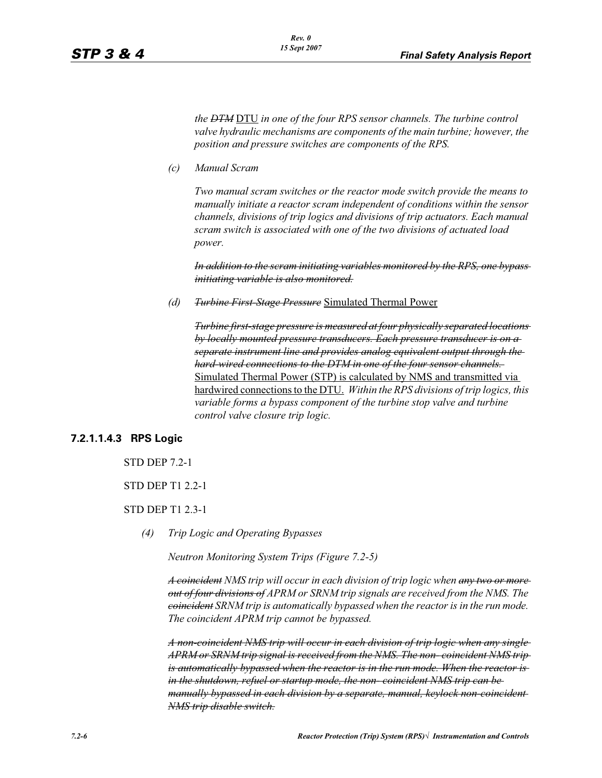*the DTM* DTU *in one of the four RPS sensor channels. The turbine control valve hydraulic mechanisms are components of the main turbine; however, the position and pressure switches are components of the RPS.*

*(c) Manual Scram*

*Two manual scram switches or the reactor mode switch provide the means to manually initiate a reactor scram independent of conditions within the sensor channels, divisions of trip logics and divisions of trip actuators. Each manual scram switch is associated with one of the two divisions of actuated load power.* 

*In addition to the scram initiating variables monitored by the RPS, one bypass initiating variable is also monitored.*

*(d) Turbine First-Stage Pressure* Simulated Thermal Power

*Turbine first-stage pressure is measured at four physically separated locations by locally mounted pressure transducers. Each pressure transducer is on a separate instrument line and provides analog equivalent output through the hard-wired connections to the DTM in one of the four sensor channels.*  Simulated Thermal Power (STP) is calculated by NMS and transmitted via hardwired connections to the DTU. *Within the RPS divisions of trip logics, this variable forms a bypass component of the turbine stop valve and turbine control valve closure trip logic.*

## **7.2.1.1.4.3 RPS Logic**

STD DEP 7.2-1

STD DEP T1 2.2-1

- STD DEP T1 2.3-1
	- *(4) Trip Logic and Operating Bypasses*

*Neutron Monitoring System Trips (Figure 7.2-5)*

*A coincident NMS trip will occur in each division of trip logic when any two or more out of four divisions of APRM or SRNM trip signals are received from the NMS. The coincident SRNM trip is automatically bypassed when the reactor is in the run mode. The coincident APRM trip cannot be bypassed.*

*A non-coincident NMS trip will occur in each division of trip logic when any single APRM or SRNM trip signal is received from the NMS. The non- coincident NMS trip is automatically bypassed when the reactor is in the run mode. When the reactor is in the shutdown, refuel or startup mode, the non- coincident NMS trip can be manually bypassed in each division by a separate, manual, keylock non-coincident NMS trip disable switch.*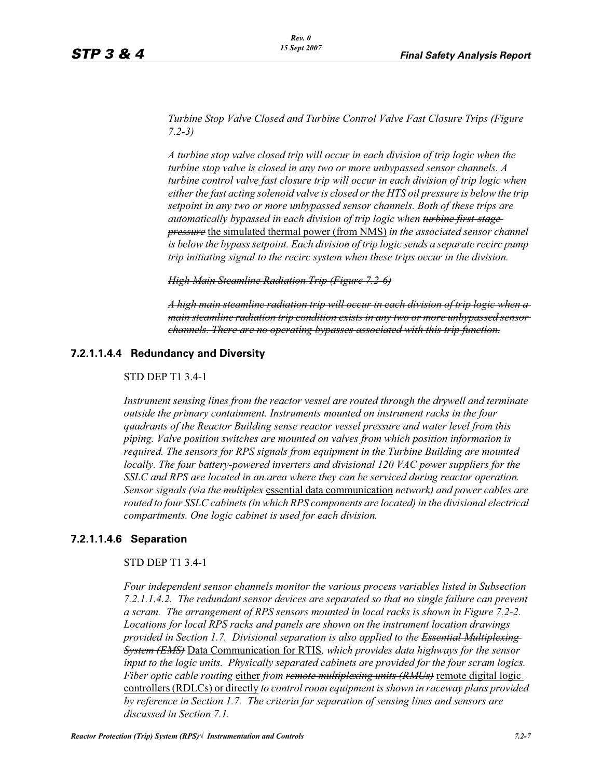*Turbine Stop Valve Closed and Turbine Control Valve Fast Closure Trips (Figure 7.2-3)*

*A turbine stop valve closed trip will occur in each division of trip logic when the turbine stop valve is closed in any two or more unbypassed sensor channels. A turbine control valve fast closure trip will occur in each division of trip logic when either the fast acting solenoid valve is closed or the HTS oil pressure is below the trip setpoint in any two or more unbypassed sensor channels. Both of these trips are automatically bypassed in each division of trip logic when turbine first-stage pressure* the simulated thermal power (from NMS) *in the associated sensor channel is below the bypass setpoint. Each division of trip logic sends a separate recirc pump trip initiating signal to the recirc system when these trips occur in the division.*

*High Main Steamline Radiation Trip (Figure 7.2-6)*

*A high main steamline radiation trip will occur in each division of trip logic when a main steamline radiation trip condition exists in any two or more unbypassed sensor channels. There are no operating bypasses associated with this trip function.*

## **7.2.1.1.4.4 Redundancy and Diversity**

#### STD DEP T1 3.4-1

*Instrument sensing lines from the reactor vessel are routed through the drywell and terminate outside the primary containment. Instruments mounted on instrument racks in the four quadrants of the Reactor Building sense reactor vessel pressure and water level from this piping. Valve position switches are mounted on valves from which position information is required. The sensors for RPS signals from equipment in the Turbine Building are mounted locally. The four battery-powered inverters and divisional 120 VAC power suppliers for the SSLC and RPS are located in an area where they can be serviced during reactor operation. Sensor signals (via the multiplex* essential data communication *network) and power cables are routed to four SSLC cabinets (in which RPS components are located) in the divisional electrical compartments. One logic cabinet is used for each division.*

#### **7.2.1.1.4.6 Separation**

#### STD DEP T1 3.4-1

*Four independent sensor channels monitor the various process variables listed in Subsection 7.2.1.1.4.2. The redundant sensor devices are separated so that no single failure can prevent a scram. The arrangement of RPS sensors mounted in local racks is shown in Figure 7.2-2. Locations for local RPS racks and panels are shown on the instrument location drawings provided in Section 1.7. Divisional separation is also applied to the Essential Multiplexing System (EMS)* Data Communication for RTIS*, which provides data highways for the sensor input to the logic units. Physically separated cabinets are provided for the four scram logics. Fiber optic cable routing* either *from remote multiplexing units (RMUs)* remote digital logic controllers (RDLCs) or directly *to control room equipment is shown in raceway plans provided by reference in Section 1.7. The criteria for separation of sensing lines and sensors are discussed in Section 7.1.*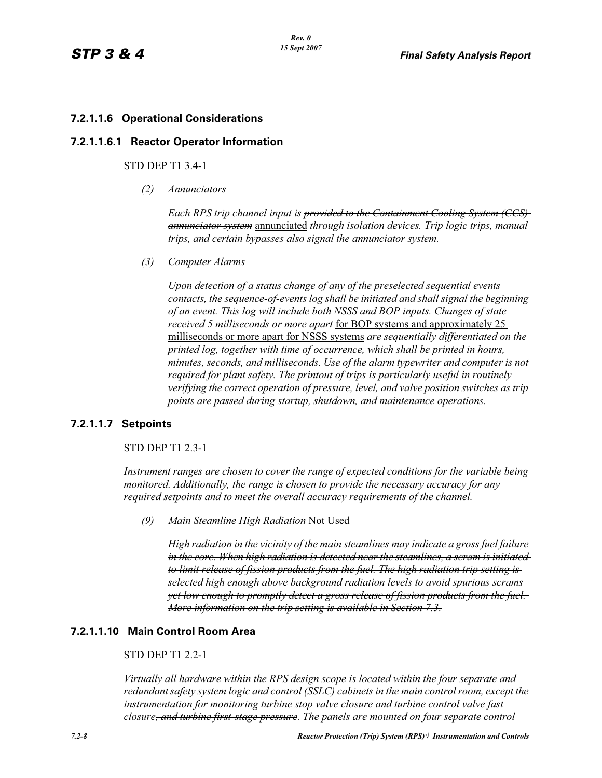## **7.2.1.1.6 Operational Considerations**

#### **7.2.1.1.6.1 Reactor Operator Information**

#### STD DEP T1 3.4-1

*(2) Annunciators*

*Each RPS trip channel input is provided to the Containment Cooling System (CCS) annunciator system* annunciated *through isolation devices. Trip logic trips, manual trips, and certain bypasses also signal the annunciator system.*

*(3) Computer Alarms*

*Upon detection of a status change of any of the preselected sequential events contacts, the sequence-of-events log shall be initiated and shall signal the beginning of an event. This log will include both NSSS and BOP inputs. Changes of state received 5 milliseconds or more apart* for BOP systems and approximately 25 milliseconds or more apart for NSSS systems *are sequentially differentiated on the printed log, together with time of occurrence, which shall be printed in hours, minutes, seconds, and milliseconds. Use of the alarm typewriter and computer is not required for plant safety. The printout of trips is particularly useful in routinely verifying the correct operation of pressure, level, and valve position switches as trip points are passed during startup, shutdown, and maintenance operations.*

## **7.2.1.1.7 Setpoints**

#### STD DEP T1 2.3-1

*Instrument ranges are chosen to cover the range of expected conditions for the variable being monitored. Additionally, the range is chosen to provide the necessary accuracy for any required setpoints and to meet the overall accuracy requirements of the channel.*

*(9) Main Steamline High Radiation* Not Used

*High radiation in the vicinity of the main steamlines may indicate a gross fuel failure in the core. When high radiation is detected near the steamlines, a scram is initiated to limit release of fission products from the fuel. The high radiation trip setting is selected high enough above background radiation levels to avoid spurious scrams yet low enough to promptly detect a gross release of fission products from the fuel. More information on the trip setting is available in Section 7.3.*

### **7.2.1.1.10 Main Control Room Area**

### STD DEP T1 2.2-1

*Virtually all hardware within the RPS design scope is located within the four separate and redundant safety system logic and control (SSLC) cabinets in the main control room, except the instrumentation for monitoring turbine stop valve closure and turbine control valve fast closure, and turbine first-stage pressure. The panels are mounted on four separate control*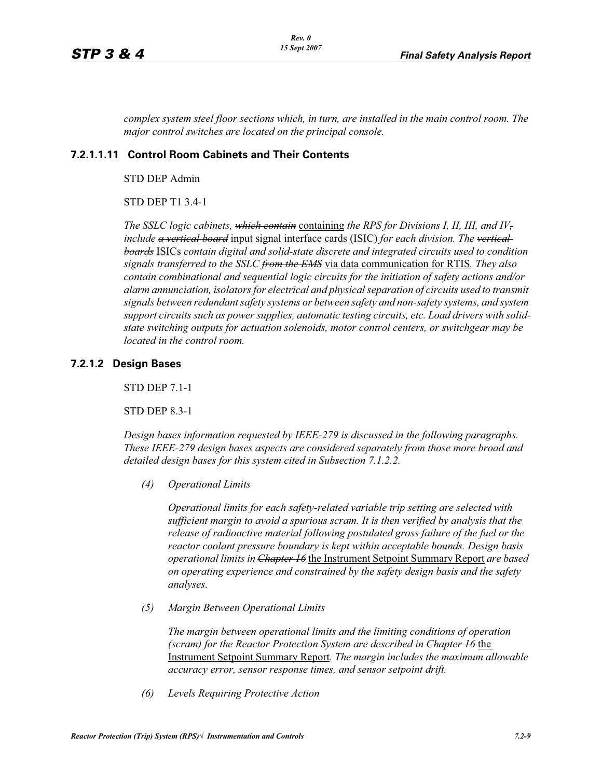*complex system steel floor sections which, in turn, are installed in the main control room. The major control switches are located on the principal console.*

## **7.2.1.1.11 Control Room Cabinets and Their Contents**

STD DEP Admin

STD DEP T1 3.4-1

*The SSLC logic cabinets, which contain* containing *the RPS for Divisions I, II, III, and IV, include a vertical board* input signal interface cards (ISIC) *for each division. The vertical boards* ISICs *contain digital and solid-state discrete and integrated circuits used to condition signals transferred to the SSLC from the EMS* via data communication for RTIS*. They also contain combinational and sequential logic circuits for the initiation of safety actions and/or alarm annunciation, isolators for electrical and physical separation of circuits used to transmit signals between redundant safety systems or between safety and non-safety systems, and system support circuits such as power supplies, automatic testing circuits, etc. Load drivers with solidstate switching outputs for actuation solenoids, motor control centers, or switchgear may be located in the control room.*

#### **7.2.1.2 Design Bases**

STD DEP 7.1-1

STD DEP 8.3-1

*Design bases information requested by IEEE-279 is discussed in the following paragraphs. These IEEE-279 design bases aspects are considered separately from those more broad and detailed design bases for this system cited in Subsection 7.1.2.2.*

*(4) Operational Limits*

*Operational limits for each safety-related variable trip setting are selected with sufficient margin to avoid a spurious scram. It is then verified by analysis that the*  release of radioactive material following postulated gross failure of the fuel or the *reactor coolant pressure boundary is kept within acceptable bounds. Design basis operational limits in Chapter 16* the Instrument Setpoint Summary Report *are based on operating experience and constrained by the safety design basis and the safety analyses.*

*(5) Margin Between Operational Limits*

*The margin between operational limits and the limiting conditions of operation (scram) for the Reactor Protection System are described in Chapter 16* the Instrument Setpoint Summary Report*. The margin includes the maximum allowable accuracy error, sensor response times, and sensor setpoint drift.*

*(6) Levels Requiring Protective Action*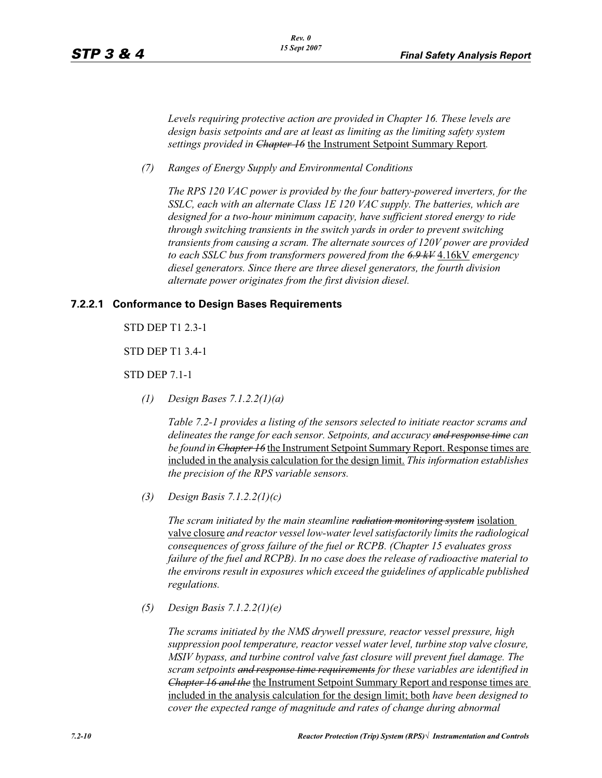*Levels requiring protective action are provided in Chapter 16. These levels are design basis setpoints and are at least as limiting as the limiting safety system settings provided in Chapter 16* the Instrument Setpoint Summary Report*.*

*(7) Ranges of Energy Supply and Environmental Conditions*

*The RPS 120 VAC power is provided by the four battery-powered inverters, for the SSLC, each with an alternate Class 1E 120 VAC supply. The batteries, which are designed for a two-hour minimum capacity, have sufficient stored energy to ride through switching transients in the switch yards in order to prevent switching transients from causing a scram. The alternate sources of 120V power are provided to each SSLC bus from transformers powered from the 6.9 kV* 4.16kV *emergency diesel generators. Since there are three diesel generators, the fourth division alternate power originates from the first division diesel.*

#### **7.2.2.1 Conformance to Design Bases Requirements**

STD DEP T1 2.3-1

STD DEP T1 3.4-1

STD DEP 7.1-1

*(1) Design Bases 7.1.2.2(1)(a)*

*Table 7.2-1 provides a listing of the sensors selected to initiate reactor scrams and delineates the range for each sensor. Setpoints, and accuracy and response time can be found in Chapter 16* the Instrument Setpoint Summary Report. Response times are included in the analysis calculation for the design limit. *This information establishes the precision of the RPS variable sensors.*

*(3) Design Basis 7.1.2.2(1)(c)*

*The scram initiated by the main steamline radiation monitoring system* isolation valve closure *and reactor vessel low-water level satisfactorily limits the radiological consequences of gross failure of the fuel or RCPB. (Chapter 15 evaluates gross failure of the fuel and RCPB). In no case does the release of radioactive material to the environs result in exposures which exceed the guidelines of applicable published regulations.*

*(5) Design Basis 7.1.2.2(1)(e)* 

*The scrams initiated by the NMS drywell pressure, reactor vessel pressure, high suppression pool temperature, reactor vessel water level, turbine stop valve closure, MSIV bypass, and turbine control valve fast closure will prevent fuel damage. The scram setpoints and response time requirements for these variables are identified in Chapter 16 and the* the Instrument Setpoint Summary Report and response times are included in the analysis calculation for the design limit; both *have been designed to cover the expected range of magnitude and rates of change during abnormal*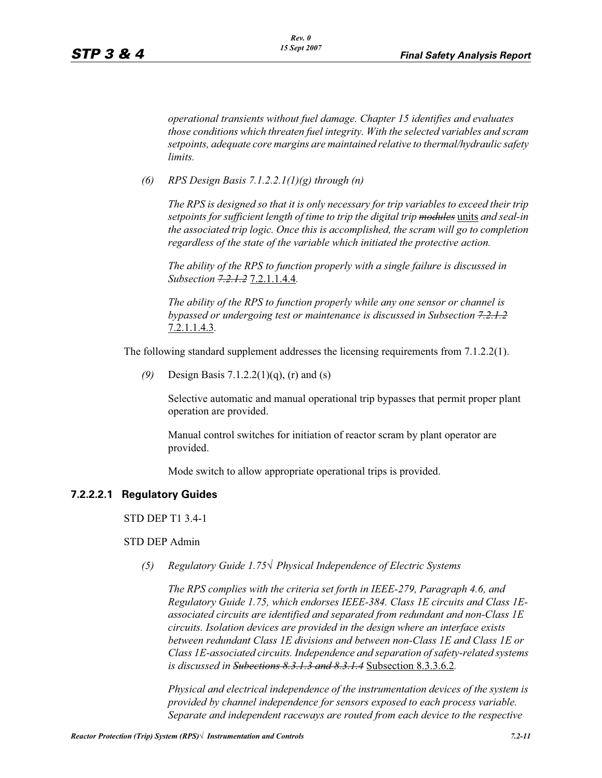*operational transients without fuel damage. Chapter 15 identifies and evaluates those conditions which threaten fuel integrity. With the selected variables and scram setpoints, adequate core margins are maintained relative to thermal/hydraulic safety limits.*

*(6) RPS Design Basis 7.1.2.2.1(1)(g) through (n)* 

*The RPS is designed so that it is only necessary for trip variables to exceed their trip setpoints for sufficient length of time to trip the digital trip modules* units *and seal-in the associated trip logic. Once this is accomplished, the scram will go to completion regardless of the state of the variable which initiated the protective action.*

*The ability of the RPS to function properly with a single failure is discussed in Subsection 7.2.1.2* 7.2.1.1.4.4*.*

*The ability of the RPS to function properly while any one sensor or channel is bypassed or undergoing test or maintenance is discussed in Subsection 7.2.1.2* 7.2.1.1.4.3*.*

The following standard supplement addresses the licensing requirements from 7.1.2.2(1).

*(9)* Design Basis 7.1.2.2(1)(q), (r) and (s)

Selective automatic and manual operational trip bypasses that permit proper plant operation are provided.

Manual control switches for initiation of reactor scram by plant operator are provided.

Mode switch to allow appropriate operational trips is provided.

#### **7.2.2.2.1 Regulatory Guides**

STD DEP T1 3.4-1

## STD DEP Admin

*(5) Regulatory Guide 1.75— Physical Independence of Electric Systems*

*The RPS complies with the criteria set forth in IEEE-279, Paragraph 4.6, and Regulatory Guide 1.75, which endorses IEEE-384. Class 1E circuits and Class 1Eassociated circuits are identified and separated from redundant and non-Class 1E circuits. Isolation devices are provided in the design where an interface exists between redundant Class 1E divisions and between non-Class 1E and Class 1E or Class 1E-associated circuits. Independence and separation of safety-related systems is discussed in Subections 8.3.1.3 and 8.3.1.4* Subsection 8.3.3.6.2*.*

*Physical and electrical independence of the instrumentation devices of the system is provided by channel independence for sensors exposed to each process variable. Separate and independent raceways are routed from each device to the respective*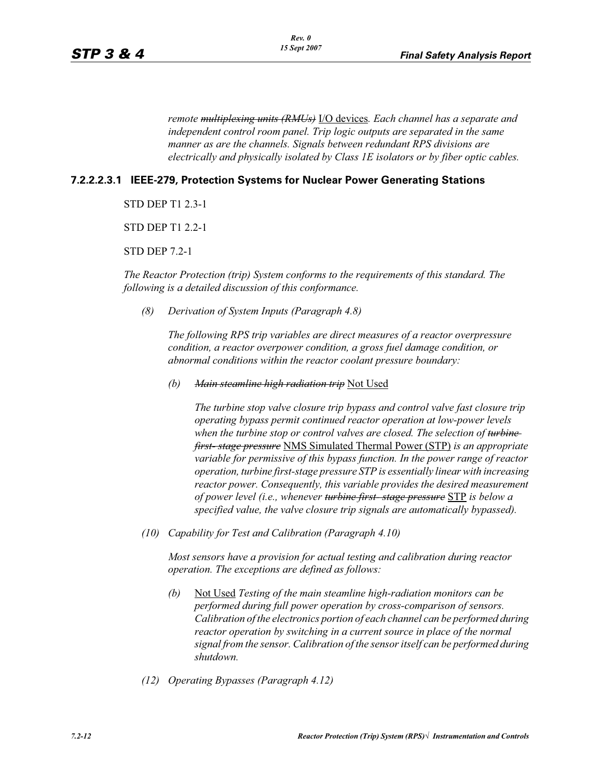*remote multiplexing units (RMUs)* I/O devices*. Each channel has a separate and independent control room panel. Trip logic outputs are separated in the same manner as are the channels. Signals between redundant RPS divisions are electrically and physically isolated by Class 1E isolators or by fiber optic cables.*

## **7.2.2.2.3.1 IEEE-279, Protection Systems for Nuclear Power Generating Stations**

STD DEP T1 2.3-1

STD DEP T1 2.2-1

STD DEP 7.2-1

*The Reactor Protection (trip) System conforms to the requirements of this standard. The following is a detailed discussion of this conformance.*

*(8) Derivation of System Inputs (Paragraph 4.8)*

*The following RPS trip variables are direct measures of a reactor overpressure condition, a reactor overpower condition, a gross fuel damage condition, or abnormal conditions within the reactor coolant pressure boundary:*

*(b) Main steamline high radiation trip* Not Used

*The turbine stop valve closure trip bypass and control valve fast closure trip operating bypass permit continued reactor operation at low-power levels*  when the turbine stop or control valves are closed. The selection of turbine*first- stage pressure* NMS Simulated Thermal Power (STP) *is an appropriate variable for permissive of this bypass function. In the power range of reactor operation, turbine first-stage pressure STP is essentially linear with increasing reactor power. Consequently, this variable provides the desired measurement of power level (i.e., whenever turbine first- stage pressure* STP *is below a specified value, the valve closure trip signals are automatically bypassed).*

*(10) Capability for Test and Calibration (Paragraph 4.10)*

*Most sensors have a provision for actual testing and calibration during reactor operation. The exceptions are defined as follows:*

- *(b)* Not Used *Testing of the main steamline high-radiation monitors can be performed during full power operation by cross-comparison of sensors. Calibration of the electronics portion of each channel can be performed during*  reactor operation by switching in a current source in place of the normal *signal from the sensor. Calibration of the sensor itself can be performed during shutdown.*
- *(12) Operating Bypasses (Paragraph 4.12)*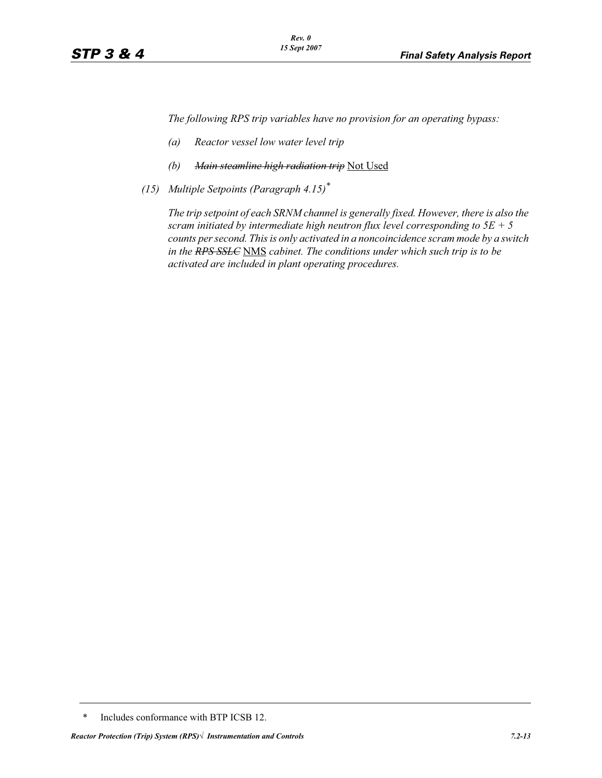*The following RPS trip variables have no provision for an operating bypass:*

- *(a) Reactor vessel low water level trip*
- *(b) Main steamline high radiation trip* Not Used
- *(15) Multiple Setpoints (Paragraph 4.15)\**

*The trip setpoint of each SRNM channel is generally fixed. However, there is also the scram initiated by intermediate high neutron flux level corresponding to 5E + 5 counts per second. This is only activated in a noncoincidence scram mode by a switch in the RPS SSLC* NMS *cabinet. The conditions under which such trip is to be activated are included in plant operating procedures.*

<sup>\*</sup> Includes conformance with BTP ICSB 12.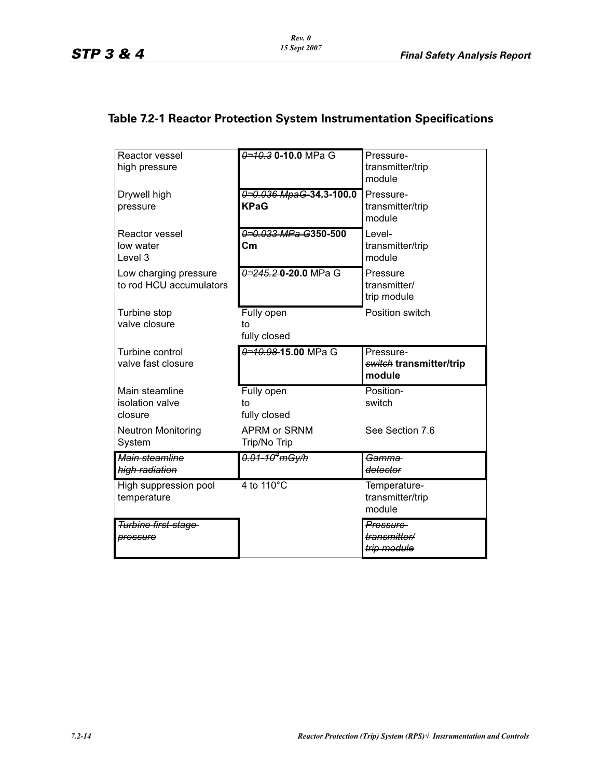# **Table 7.2-1 Reactor Protection System Instrumentation Specifications**

| Reactor vessel<br>high pressure                  | 0-10.3 0-10.0 MPa G                    | Pressure-<br>transmitter/trip<br>module                   |
|--------------------------------------------------|----------------------------------------|-----------------------------------------------------------|
| Drywell high<br>pressure                         | 0-0.036 MpaG-34.3-100.0<br><b>KPaG</b> | Pressure-<br>transmitter/trip<br>module                   |
| Reactor vessel<br>low water<br>Level 3           | 0-0.033 MPa G350-500<br>Cm             | Level-<br>transmitter/trip<br>module                      |
| Low charging pressure<br>to rod HCU accumulators | 0-245.20-20.0 MPa G                    | Pressure<br>transmitter/<br>trip module                   |
| Turbine stop<br>valve closure                    | Fully open<br>to<br>fully closed       | Position switch                                           |
| Turbine control<br>valve fast closure            | 0-10.98-15.00 MPa G                    | Pressure-<br><del>switch</del> transmitter/trip<br>module |
| Main steamline<br>isolation valve<br>closure     | Fully open<br>to<br>fully closed       | Position-<br>switch                                       |
| <b>Neutron Monitoring</b><br>System              | APRM or SRNM<br>Trip/No Trip           | See Section 7.6                                           |
| Main steamline<br>high radiation                 | 0.01-10 <sup>4</sup> mGy/h             | <del>Gamma</del><br>detector                              |
| High suppression pool<br>temperature             | 4 to $110^{\circ}$ C                   | Temperature-<br>transmitter/trip<br>module                |
|                                                  |                                        |                                                           |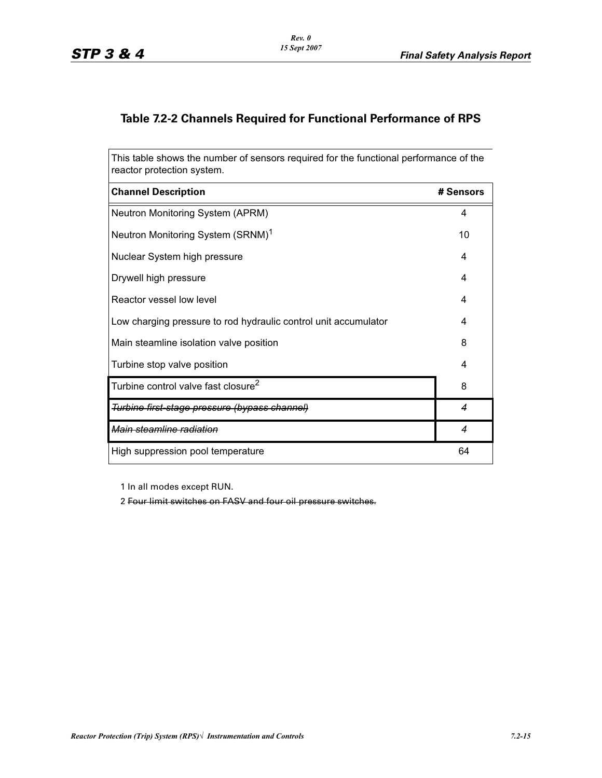## **Table 7.2-2 Channels Required for Functional Performance of RPS**

This table shows the number of sensors required for the functional performance of the reactor protection system.

| <b>Channel Description</b>                                      | # Sensors        |
|-----------------------------------------------------------------|------------------|
| Neutron Monitoring System (APRM)                                | 4                |
| Neutron Monitoring System (SRNM) <sup>1</sup>                   | 10               |
| Nuclear System high pressure                                    | 4                |
| Drywell high pressure                                           | 4                |
| Reactor vessel low level                                        | 4                |
| Low charging pressure to rod hydraulic control unit accumulator | 4                |
| Main steamline isolation valve position                         | 8                |
| Turbine stop valve position                                     | 4                |
| Turbine control valve fast closure <sup>2</sup>                 | 8                |
| Turbine first-stage pressure (bypass channel)                   | $\overline{4}$   |
| Main steamline radiation                                        | $\boldsymbol{4}$ |
| High suppression pool temperature                               | 64               |

1 In all modes except RUN.

2 Four limit switches on FASV and four oil pressure switches.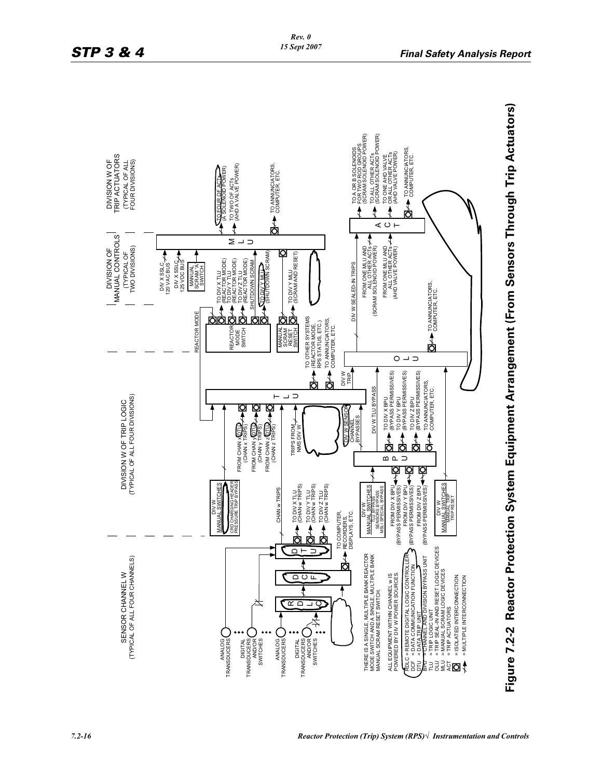

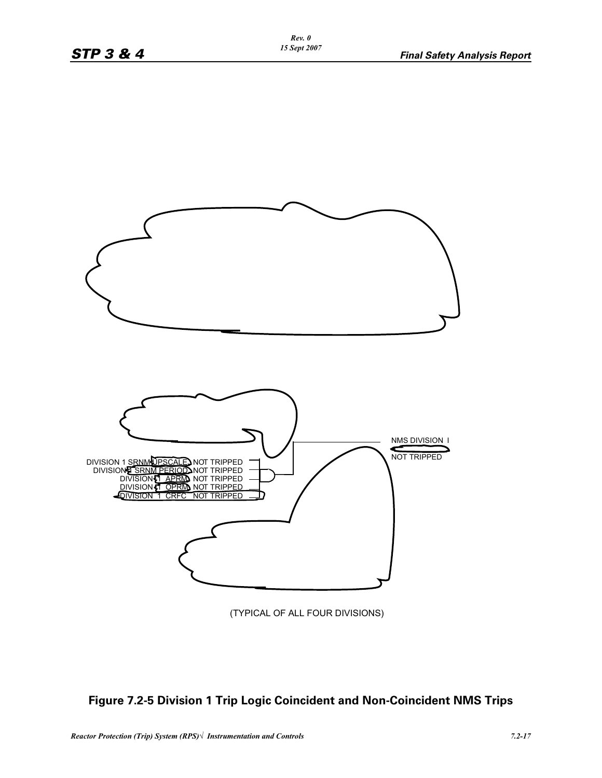

(TYPICAL OF ALL FOUR DIVISIONS)

## **Figure 7.2-5 Division 1 Trip Logic Coincident and Non-Coincident NMS Trips**